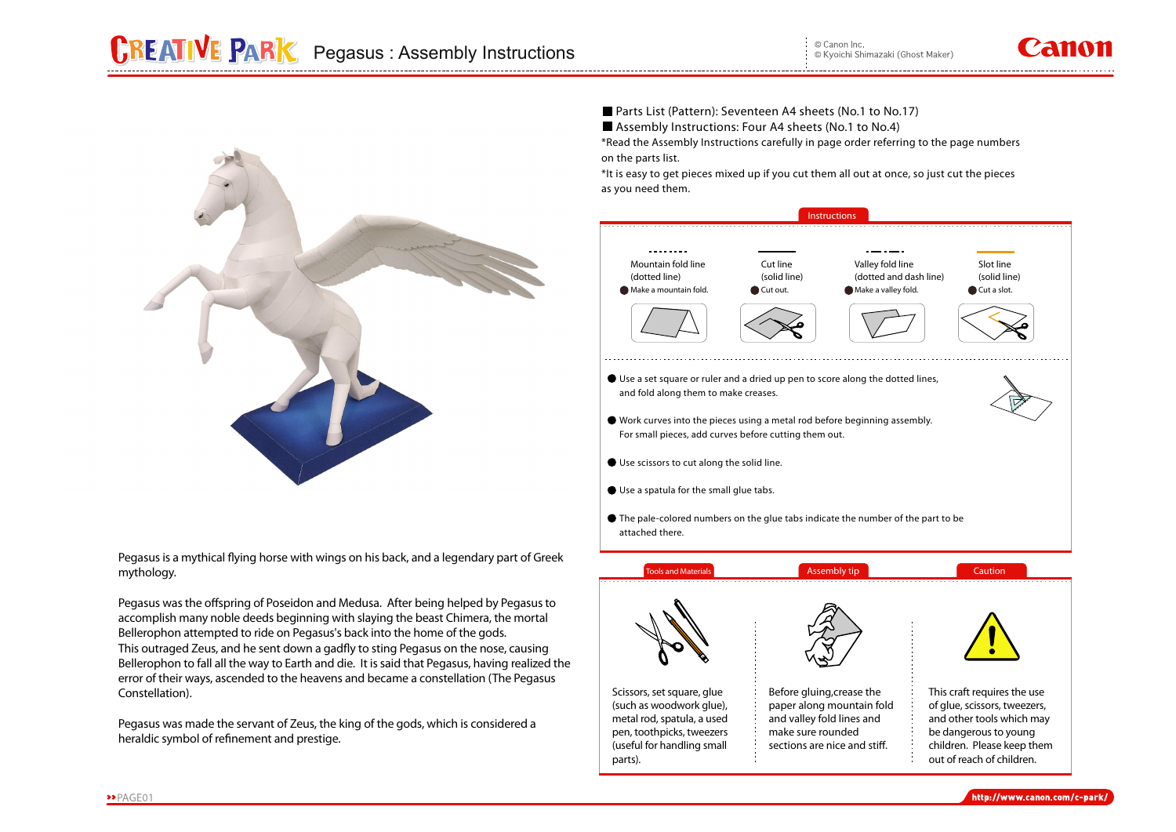

Pegasus is a mythical flying horse with wings on his back, and a legendary part of Greek **mythology.**

Pegasus was the offspring of Poseidon and Medusa. After being helped by Pegasus to **accomplish many noble deeds beginning with slaying the beast Chimera, the mortal Bellerophon attempted to ride on Pegasus's back into the home of the gods.**  This outraged Zeus, and he sent down a gadfly to sting Pegasus on the nose, causing **Bellerophon to fall all the way to Earth and die. It is said that Pegasus, having realized the error of their ways, ascended to the heavens and became a constellation (The Pegasus Constellation).**

**Pegasus was made the servant of Zeus, the king of the gods, which is considered a**  heraldic symbol of refinement and prestige.

**Parts List (Pattern): Seventeen A4 sheets (No.1 to No.17) Assembly Instructions: Four A4 sheets (No.1 to No.4)** 

**\*Read the Assembly Instructions carefully in page order referring to the page numbers on the parts list.**

**\*It is easy to get pieces mixed up if you cut them all out at once, so just cut the pieces as you need them.**



**parts).**

**out of reach of children.**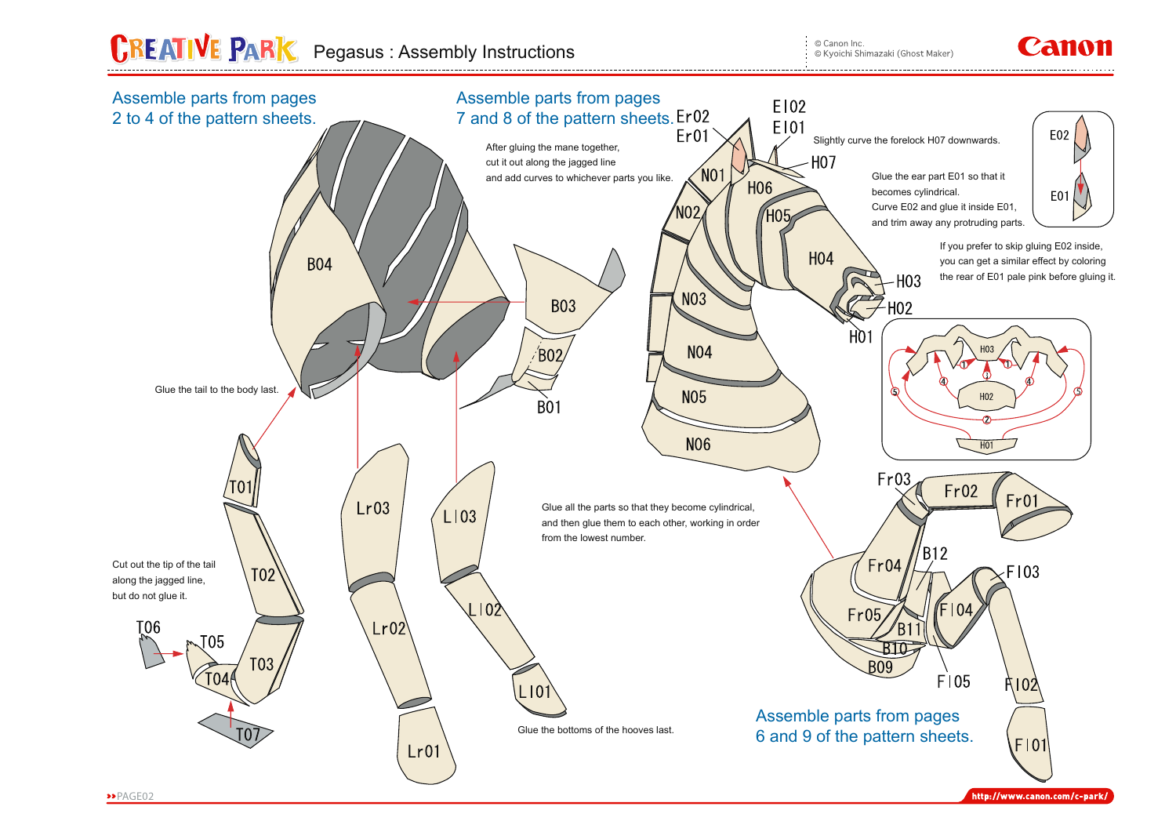## **CREATIVE PARK** Pegasus : Assembly Instructions

© Canon Inc. © Kyoichi Shimazaki (Ghost Maker)

## Panon



http://www.canon.com/c-park/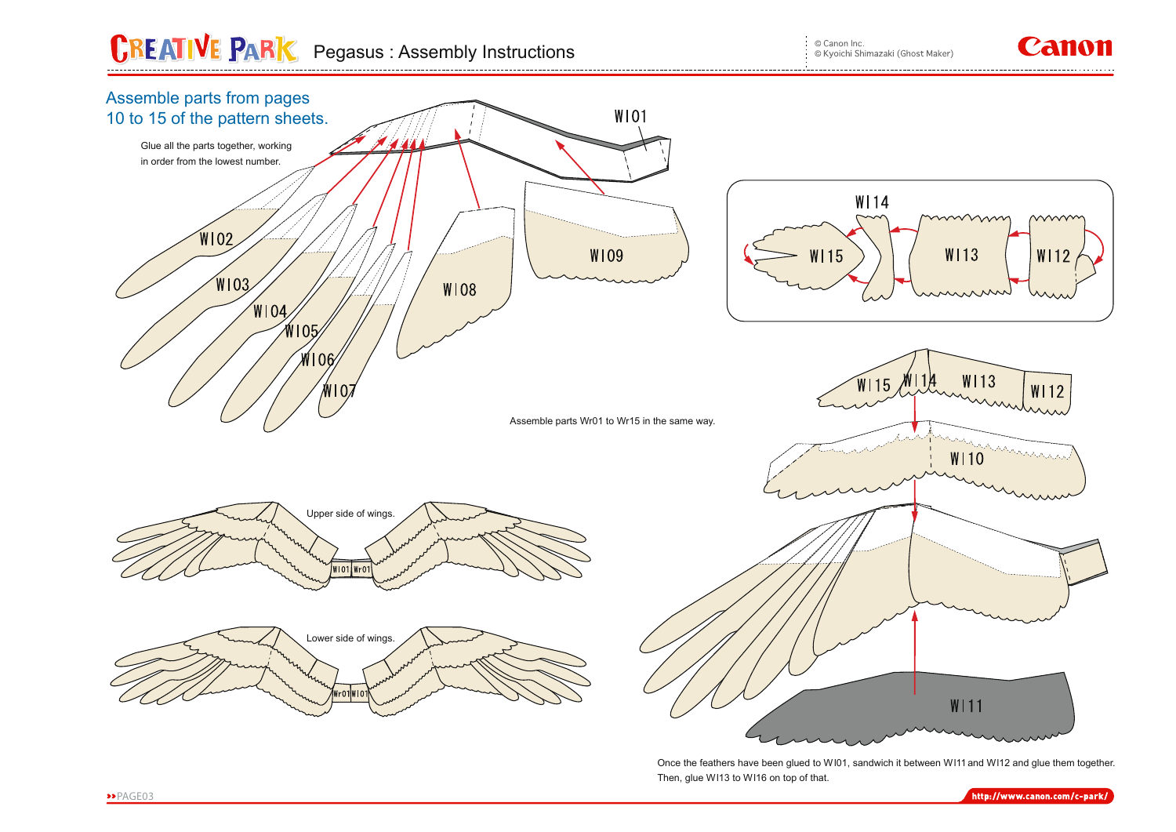## **CREATIVE PARK** Pegasus : Assembly Instructions

© Canon Inc. © Kyoichi Shimazaki (Ghost Maker)

## Canon



Once the feathers have been glued to W101, sandwich it between W111 and W112 and glue them together. Then, glue Wl13 to Wl16 on top of that.